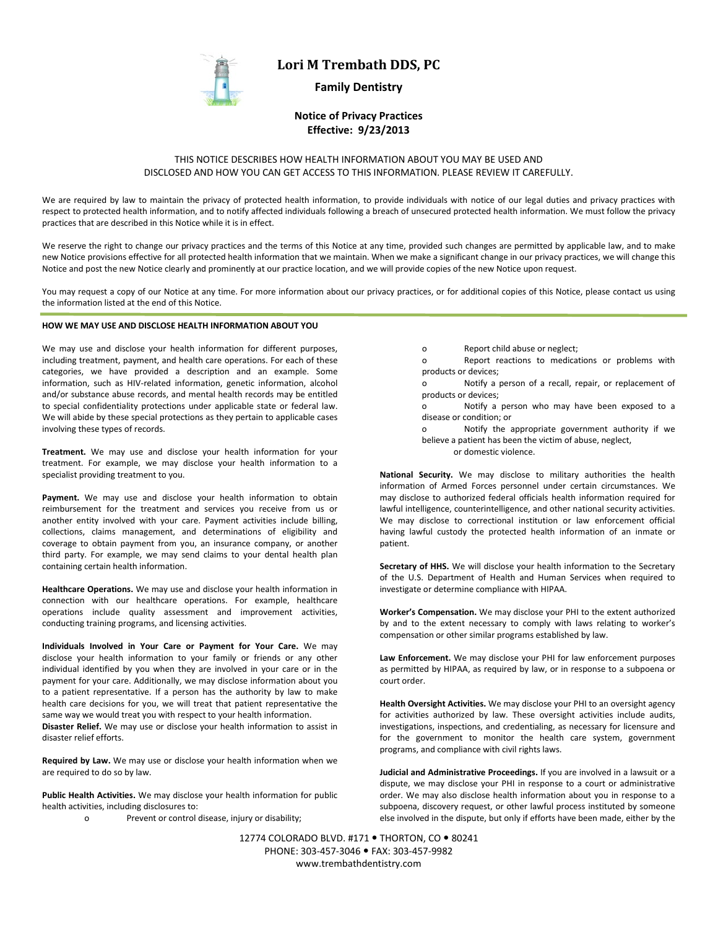

# **Lori M Trembath DDS, PC**

## **Family Dentistry**

## **Notice of Privacy Practices Effective: 9/23/2013**

## THIS NOTICE DESCRIBES HOW HEALTH INFORMATION ABOUT YOU MAY BE USED AND DISCLOSED AND HOW YOU CAN GET ACCESS TO THIS INFORMATION. PLEASE REVIEW IT CAREFULLY.

We are required by law to maintain the privacy of protected health information, to provide individuals with notice of our legal duties and privacy practices with respect to protected health information, and to notify affected individuals following a breach of unsecured protected health information. We must follow the privacy practices that are described in this Notice while it is in effect.

We reserve the right to change our privacy practices and the terms of this Notice at any time, provided such changes are permitted by applicable law, and to make new Notice provisions effective for all protected health information that we maintain. When we make a significant change in our privacy practices, we will change this Notice and post the new Notice clearly and prominently at our practice location, and we will provide copies of the new Notice upon request.

You may request a copy of our Notice at any time. For more information about our privacy practices, or for additional copies of this Notice, please contact us using the information listed at the end of this Notice.

### **HOW WE MAY USE AND DISCLOSE HEALTH INFORMATION ABOUT YOU**

We may use and disclose your health information for different purposes, including treatment, payment, and health care operations. For each of these categories, we have provided a description and an example. Some information, such as HIV-related information, genetic information, alcohol and/or substance abuse records, and mental health records may be entitled to special confidentiality protections under applicable state or federal law. We will abide by these special protections as they pertain to applicable cases involving these types of records.

**Treatment.** We may use and disclose your health information for your treatment. For example, we may disclose your health information to a specialist providing treatment to you.

Payment. We may use and disclose your health information to obtain reimbursement for the treatment and services you receive from us or another entity involved with your care. Payment activities include billing, collections, claims management, and determinations of eligibility and coverage to obtain payment from you, an insurance company, or another third party. For example, we may send claims to your dental health plan containing certain health information.

**Healthcare Operations.** We may use and disclose your health information in connection with our healthcare operations. For example, healthcare operations include quality assessment and improvement activities, conducting training programs, and licensing activities.

**Individuals Involved in Your Care or Payment for Your Care.** We may disclose your health information to your family or friends or any other individual identified by you when they are involved in your care or in the payment for your care. Additionally, we may disclose information about you to a patient representative. If a person has the authority by law to make health care decisions for you, we will treat that patient representative the same way we would treat you with respect to your health information. **Disaster Relief.** We may use or disclose your health information to assist in disaster relief efforts.

**Required by Law.** We may use or disclose your health information when we are required to do so by law.

**Public Health Activities.** We may disclose your health information for public health activities, including disclosures to:

o Prevent or control disease, injury or disability;

- o Report child abuse or neglect;
- o Report reactions to medications or problems with products or devices;

o Notify a person of a recall, repair, or replacement of products or devices;

o Notify a person who may have been exposed to a disease or condition; or

o Notify the appropriate government authority if we believe a patient has been the victim of abuse, neglect,

or domestic violence.

**National Security.** We may disclose to military authorities the health information of Armed Forces personnel under certain circumstances. We may disclose to authorized federal officials health information required for lawful intelligence, counterintelligence, and other national security activities. We may disclose to correctional institution or law enforcement official having lawful custody the protected health information of an inmate or patient.

**Secretary of HHS.** We will disclose your health information to the Secretary of the U.S. Department of Health and Human Services when required to investigate or determine compliance with HIPAA.

**Worker's Compensation.** We may disclose your PHI to the extent authorized by and to the extent necessary to comply with laws relating to worker's compensation or other similar programs established by law.

**Law Enforcement.** We may disclose your PHI for law enforcement purposes as permitted by HIPAA, as required by law, or in response to a subpoena or court order.

**Health Oversight Activities.** We may disclose your PHI to an oversight agency for activities authorized by law. These oversight activities include audits, investigations, inspections, and credentialing, as necessary for licensure and for the government to monitor the health care system, government programs, and compliance with civil rights laws.

**Judicial and Administrative Proceedings.** If you are involved in a lawsuit or a dispute, we may disclose your PHI in response to a court or administrative order. We may also disclose health information about you in response to a subpoena, discovery request, or other lawful process instituted by someone else involved in the dispute, but only if efforts have been made, either by the

12774 COLORADO BLVD. #171 · THORTON, CO · 80241 PHONE: 303-457-3046 FAX: 303-457-9982 www.trembathdentistry.com